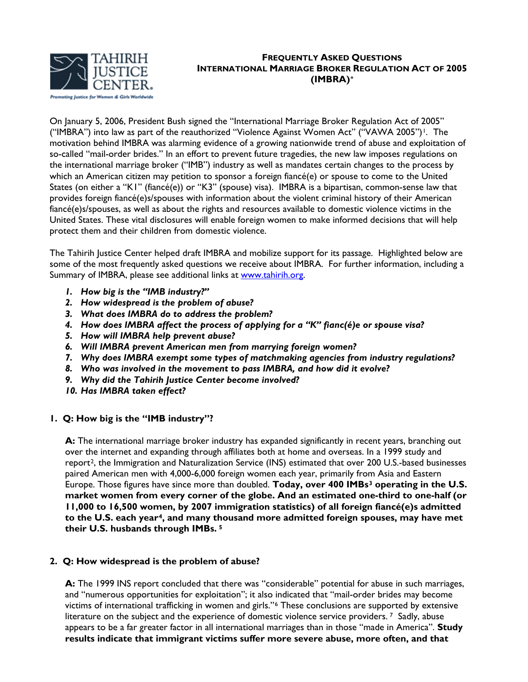

## **FREQUENTLY ASKED QUESTIONS INTERNATIONAL MARRIAGE BROKER REGULATION ACT OF 2005 (IMBRA)[\\*](#page-8-0)**

On January 5, 2006, President Bush signed the "International Marriage Broker Regulation Act of 2005" ("IMBRA") into law as part of the reauthorized "Violence Against Women Act" ("VAWA 2005")<sup>1</sup>. The motivation behind IMBRA was alarming evidence of a growing nationwide trend of abuse and exploitation of so-called "mail-order brides." In an effort to prevent future tragedies, the new law imposes regulations on the international marriage broker ("IMB") industry as well as mandates certain changes to the process by which an American citizen may petition to sponsor a foreign fiancé(e) or spouse to come to the United States (on either a "K1" (fiancé(e)) or "K3" (spouse) visa). IMBRA is a bipartisan, common-sense law that provides foreign fiancé(e)s/spouses with information about the violent criminal history of their American fiancé(e)s/spouses, as well as about the rights and resources available to domestic violence victims in the United States. These vital disclosures will enable foreign women to make informed decisions that will help protect them and their children from domestic violence.

The Tahirih Justice Center helped draft IMBRA and mobilize support for its passage. Highlighted below are some of the most frequently asked questions we receive about IMBRA. For further information, including a Summary of IMBRA, please see additional links at [www.tahirih.org.](http://www.tahirih.org/)

- *1. How big is the "IMB industry?"*
- *2. How widespread is the problem of abuse?*
- *3. What does IMBRA do to address the problem?*
- *4. How does IMBRA affect the process of applying for a "K" fianc(é)e or spouse visa?*
- *5. How will IMBRA help prevent abuse?*
- *6. Will IMBRA prevent American men from marrying foreign women?*
- *7. Why does IMBRA exempt some types of matchmaking agencies from industry regulations?*
- *8. Who was involved in the movement to pass IMBRA, and how did it evolve?*
- *9. Why did the Tahirih Justice Center become involved?*
- *10. Has IMBRA taken effect?*

# **1. Q: How big is the "IMB industry"?**

A: The international marriage broker industry has expanded significantly in recent years, branching out over the internet and expanding through affiliates both at home and overseas. In a 1999 study and report[2,](#page-8-1) the Immigration and Naturalization Service (INS) estimated that over 200 U.S.-based businesses paired American men with 4,000-6,000 foreign women each year, primarily from Asia and Eastern Europe. Those figures have since more than doubled. **Today, over 400 IMBs[3](#page-8-1) operating in the U.S. market women from every corner of the globe. And an estimated one-third to one-half (or 11,000 to 16,500 women, by 2007 immigration statistics) of all foreign fiancé(e)s admitted to the U.S. each year[4](#page-8-1), and many thousand more admitted foreign spouses, may have met their U.S. husbands through IMBs. [5](#page-8-1)**

### **2. Q: How widespread is the problem of abuse?**

**A:** The 1999 INS report concluded that there was "considerable" potential for abuse in such marriages, and "numerous opportunities for exploitation"; it also indicated that "mail-order brides may become victims of international trafficking in women and girls."[6](#page-8-1) These conclusions are supported by extensive literature on the subject and the experience of domestic violence service providers.<sup>7</sup> Sadly, abuse appears to be a far greater factor in all international marriages than in those "made in America". **Study results indicate that immigrant victims suffer more severe abuse, more often, and that**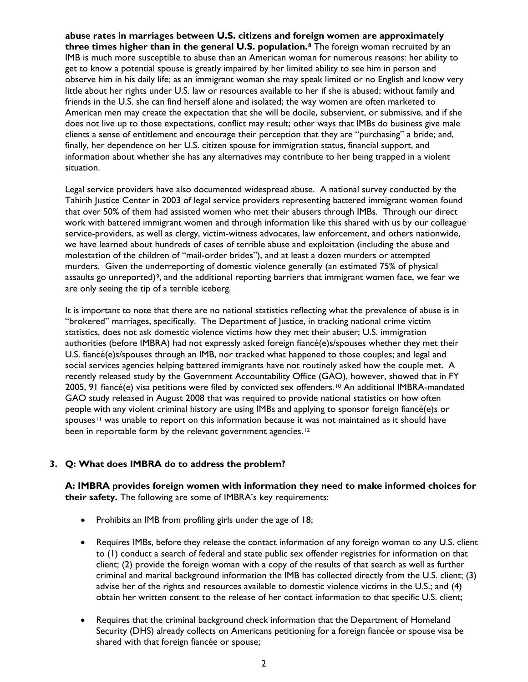**abuse rates in marriages between U.S. citizens and foreign women are approximately three times higher than in the general U.S. population.[8](#page-8-1)** The foreign woman recruited by an IMB is much more susceptible to abuse than an American woman for numerous reasons: her ability to get to know a potential spouse is greatly impaired by her limited ability to see him in person and observe him in his daily life; as an immigrant woman she may speak limited or no English and know very little about her rights under U.S. law or resources available to her if she is abused; without family and friends in the U.S. she can find herself alone and isolated; the way women are often marketed to American men may create the expectation that she will be docile, subservient, or submissive, and if she does not live up to those expectations, conflict may result; other ways that IMBs do business give male clients a sense of entitlement and encourage their perception that they are "purchasing" a bride; and, finally, her dependence on her U.S. citizen spouse for immigration status, financial support, and information about whether she has any alternatives may contribute to her being trapped in a violent situation.

Legal service providers have also documented widespread abuse. A national survey conducted by the Tahirih Justice Center in 2003 of legal service providers representing battered immigrant women found that over 50% of them had assisted women who met their abusers through IMBs. Through our direct work with battered immigrant women and through information like this shared with us by our colleague service-providers, as well as clergy, victim-witness advocates, law enforcement, and others nationwide, we have learned about hundreds of cases of terrible abuse and exploitation (including the abuse and molestation of the children of "mail-order brides"), and at least a dozen murders or attempted murders. Given the underreporting of domestic violence generally (an estimated 75% of physical assaults go unreported)<sup>9</sup>, and the additional reporting barriers that immigrant women face, we fear we are only seeing the tip of a terrible iceberg.

It is important to note that there are no national statistics reflecting what the prevalence of abuse is in "brokered" marriages, specifically. The Department of Justice, in tracking national crime victim statistics, does not ask domestic violence victims how they met their abuser; U.S. immigration authorities (before IMBRA) had not expressly asked foreign fiancé(e)s/spouses whether they met their U.S. fiancé(e)s/spouses through an IMB, nor tracked what happened to those couples; and legal and social services agencies helping battered immigrants have not routinely asked how the couple met. A recently released study by the Government Accountability Office (GAO), however, showed that in FY 2005, 91 fiancé(e) visa petitions were filed by convicted sex offenders.[1](#page-8-1)0 An additional IMBRA-mandated GAO study released in August 2008 that was required to provide national statistics on how often people with any violent criminal history are using IMBs and applying to sponsor foreign fiancé(e)s or spouses<sup> $11$ </sup> was unable to report on this information because it was not maintained as it should have been in reportable form by the relevant government agencies.<sup>[12](#page-8-1)</sup>

# **3. Q: What does IMBRA do to address the problem?**

**A: IMBRA provides foreign women with information they need to make informed choices for their safety.** The following are some of IMBRA's key requirements:

- Prohibits an IMB from profiling girls under the age of 18;
- Requires IMBs, before they release the contact information of any foreign woman to any U.S. client to (1) conduct a search of federal and state public sex offender registries for information on that client; (2) provide the foreign woman with a copy of the results of that search as well as further criminal and marital background information the IMB has collected directly from the U.S. client; (3) advise her of the rights and resources available to domestic violence victims in the U.S.; and (4) obtain her written consent to the release of her contact information to that specific U.S. client;
- Requires that the criminal background check information that the Department of Homeland Security (DHS) already collects on Americans petitioning for a foreign fiancée or spouse visa be shared with that foreign fiancée or spouse;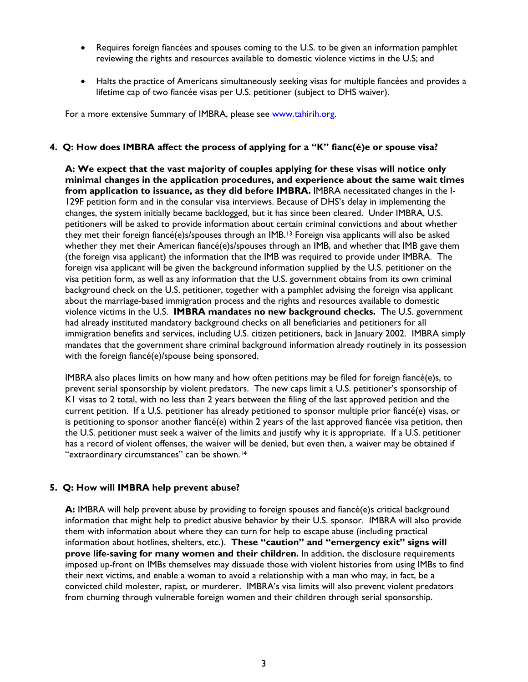- Requires foreign fiancées and spouses coming to the U.S. to be given an information pamphlet reviewing the rights and resources available to domestic violence victims in the U.S; and
- Halts the practice of Americans simultaneously seeking visas for multiple fiancées and provides a lifetime cap of two fiancée visas per U.S. petitioner (subject to DHS waiver).

For a more extensive Summary of IMBRA, please see [www.tahirih.org.](http://www.tahirih.org/)

## **4. Q: How does IMBRA affect the process of applying for a "K" fianc(é)e or spouse visa?**

**A: We expect that the vast majority of couples applying for these visas will notice only minimal changes in the application procedures, and experience about the same wait times from application to issuance, as they did before IMBRA.** IMBRA necessitated changes in the I-129F petition form and in the consular visa interviews. Because of DHS's delay in implementing the changes, the system initially became backlogged, but it has since been cleared. Under IMBRA, U.S. petitioners will be asked to provide information about certain criminal convictions and about whether they met their foreign fiancé(e)s/spouses through an IMB.[13](#page-8-1) Foreign visa applicants will also be asked whether they met their American fiancé(e)s/spouses through an IMB, and whether that IMB gave them (the foreign visa applicant) the information that the IMB was required to provide under IMBRA. The foreign visa applicant will be given the background information supplied by the U.S. petitioner on the visa petition form, as well as any information that the U.S. government obtains from its own criminal background check on the U.S. petitioner, together with a pamphlet advising the foreign visa applicant about the marriage-based immigration process and the rights and resources available to domestic violence victims in the U.S. **IMBRA mandates no new background checks.** The U.S. government had already instituted mandatory background checks on all beneficiaries and petitioners for all immigration benefits and services, including U.S. citizen petitioners, back in January 2002. IMBRA simply mandates that the government share criminal background information already routinely in its possession with the foreign fiancé(e)/spouse being sponsored.

IMBRA also places limits on how many and how often petitions may be filed for foreign fiancé(e)s, to prevent serial sponsorship by violent predators. The new caps limit a U.S. petitioner's sponsorship of K1 visas to 2 total, with no less than 2 years between the filing of the last approved petition and the current petition. If a U.S. petitioner has already petitioned to sponsor multiple prior fiancé(e) visas, or is petitioning to sponsor another fiancé(e) within 2 years of the last approved fiancée visa petition, then the U.S. petitioner must seek a waiver of the limits and justify why it is appropriate. If a U.S. petitioner has a record of violent offenses, the waiver will be denied, but even then, a waiver may be obtained if "extraordinary circumstances" can be shown.<sup>[14](#page-8-1)</sup>

### **5. Q: How will IMBRA help prevent abuse?**

**A:** IMBRA will help prevent abuse by providing to foreign spouses and fiancé(e)s critical background information that might help to predict abusive behavior by their U.S. sponsor. IMBRA will also provide them with information about where they can turn for help to escape abuse (including practical information about hotlines, shelters, etc.). **These "caution" and "emergency exit" signs will prove life-saving for many women and their children.** In addition, the disclosure requirements imposed up-front on IMBs themselves may dissuade those with violent histories from using IMBs to find their next victims, and enable a woman to avoid a relationship with a man who may, in fact, be a convicted child molester, rapist, or murderer. IMBRA's visa limits will also prevent violent predators from churning through vulnerable foreign women and their children through serial sponsorship.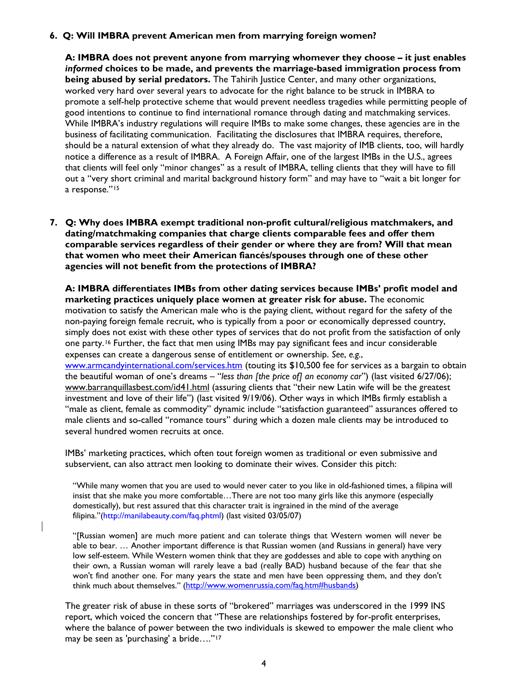## **6. Q: Will IMBRA prevent American men from marrying foreign women?**

**A: IMBRA does not prevent anyone from marrying whomever they choose – it just enables**  *informed* **choices to be made, and prevents the marriage-based immigration process from being abused by serial predators.** The Tahirih Justice Center, and many other organizations, worked very hard over several years to advocate for the right balance to be struck in IMBRA to promote a self-help protective scheme that would prevent needless tragedies while permitting people of good intentions to continue to find international romance through dating and matchmaking services. While IMBRA's industry regulations will require IMBs to make some changes, these agencies are in the business of facilitating communication. Facilitating the disclosures that IMBRA requires, therefore, should be a natural extension of what they already do. The vast majority of IMB clients, too, will hardly notice a difference as a result of IMBRA. A Foreign Affair, one of the largest IMBs in the U.S., agrees that clients will feel only "minor changes" as a result of IMBRA, telling clients that they will have to fill out a "very short criminal and marital background history form" and may have to "wait a bit longer for a response."[15](#page-8-1)

**7. Q: Why does IMBRA exempt traditional non-profit cultural/religious matchmakers, and dating/matchmaking companies that charge clients comparable fees and offer them comparable services regardless of their gender or where they are from? Will that mean that women who meet their American fiancés/spouses through one of these other agencies will not benefit from the protections of IMBRA?** 

**A: IMBRA differentiates IMBs from other dating services because IMBs' profit model and marketing practices uniquely place women at greater risk for abuse.** The economic motivation to satisfy the American male who is the paying client, without regard for the safety of the non-paying foreign female recruit, who is typically from a poor or economically depressed country, simply does not exist with these other types of services that do not profit from the satisfaction of only one party.[16](#page-8-1) Further, the fact that men using IMBs may pay significant fees and incur considerable expenses can create a dangerous sense of entitlement or ownership. *See*, *e.g.*, [www.armcandyinternational.com/services.htm](http://www.armcandyinternational.com/services.htm) (touting its \$10,500 fee for services as a bargain to obtain the beautiful woman of one's dreams – "*less than [the price of] an economy car*") (last visited 6/27/06); [www.barranquillasbest.com/id41.html](http://www.barranquillasbest.com/id41.html) (assuring clients that "their new Latin wife will be the greatest investment and love of their life") (last visited 9/19/06). Other ways in which IMBs firmly establish a "male as client, female as commodity" dynamic include "satisfaction guaranteed" assurances offered to male clients and so-called "romance tours" during which a dozen male clients may be introduced to several hundred women recruits at once.

IMBs' marketing practices, which often tout foreign women as traditional or even submissive and subservient, can also attract men looking to dominate their wives. Consider this pitch:

"While many women that you are used to would never cater to you like in old-fashioned times, a filipina will insist that she make you more comfortable…There are not too many girls like this anymore (especially domestically), but rest assured that this character trait is ingrained in the mind of the average filipina."(http://manilabeauty.com/faq.phtml) (last visited 03/05/07)

"[Russian women] are much more patient and can tolerate things that Western women will never be able to bear. … Another important difference is that Russian women (and Russians in general) have very low self-esteem. While Western women think that they are goddesses and able to cope with anything on their own, a Russian woman will rarely leave a bad (really BAD) husband because of the fear that she won't find another one. For many years the state and men have been oppressing them, and they don't think much about themselves." ([http://www.womenrussia.com/faq.htm#husbands\)](http://www.womenrussia.com/faq.htm#husbands)

The greater risk of abuse in these sorts of "brokered" marriages was underscored in the 1999 INS report, which voiced the concern that "These are relationships fostered by for-profit enterprises, where the balance of power between the two individuals is skewed to empower the male client who may be seen as 'purchasing' a bride...."<sup>[1](#page-8-1)7</sup>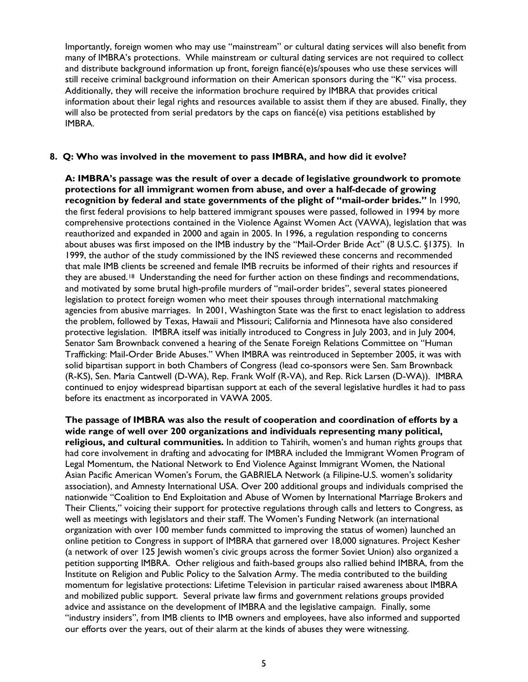Importantly, foreign women who may use "mainstream" or cultural dating services will also benefit from many of IMBRA's protections. While mainstream or cultural dating services are not required to collect and distribute background information up front, foreign fiancé(e)s/spouses who use these services will still receive criminal background information on their American sponsors during the "K" visa process. Additionally, they will receive the information brochure required by IMBRA that provides critical information about their legal rights and resources available to assist them if they are abused. Finally, they will also be protected from serial predators by the caps on fiancé(e) visa petitions established by IMBRA.

#### **8. Q: Who was involved in the movement to pass IMBRA, and how did it evolve?**

**A: IMBRA's passage was the result of over a decade of legislative groundwork to promote protections for all immigrant women from abuse, and over a half-decade of growing recognition by federal and state governments of the plight of "mail-order brides."** In 1990, the first federal provisions to help battered immigrant spouses were passed, followed in 1994 by more comprehensive protections contained in the Violence Against Women Act (VAWA), legislation that was reauthorized and expanded in 2000 and again in 2005. In 1996, a regulation responding to concerns about abuses was first imposed on the IMB industry by the "Mail-Order Bride Act" (8 U.S.C. §1375). In 1999, the author of the study commissioned by the INS reviewed these concerns and recommended that male IMB clients be screened and female IMB recruits be informed of their rights and resources if they are abused.<sup>[18](#page-8-1)</sup> Understanding the need for further action on these findings and recommendations, and motivated by some brutal high-profile murders of "mail-order brides", several states pioneered legislation to protect foreign women who meet their spouses through international matchmaking agencies from abusive marriages. In 2001, Washington State was the first to enact legislation to address the problem, followed by Texas, Hawaii and Missouri; California and Minnesota have also considered protective legislation. IMBRA itself was initially introduced to Congress in July 2003, and in July 2004, Senator Sam Brownback convened a hearing of the Senate Foreign Relations Committee on "Human Trafficking: Mail-Order Bride Abuses." When IMBRA was reintroduced in September 2005, it was with solid bipartisan support in both Chambers of Congress (lead co-sponsors were Sen. Sam Brownback (R-KS), Sen. Maria Cantwell (D-WA), Rep. Frank Wolf (R-VA), and Rep. Rick Larsen (D-WA)). IMBRA continued to enjoy widespread bipartisan support at each of the several legislative hurdles it had to pass before its enactment as incorporated in VAWA 2005.

**The passage of IMBRA was also the result of cooperation and coordination of efforts by a wide range of well over 200 organizations and individuals representing many political, religious, and cultural communities.** In addition to Tahirih, women's and human rights groups that had core involvement in drafting and advocating for IMBRA included the Immigrant Women Program of Legal Momentum, the National Network to End Violence Against Immigrant Women, the National Asian Pacific American Women's Forum, the GABRIELA Network (a Filipine-U.S. women's solidarity association), and Amnesty International USA. Over 200 additional groups and individuals comprised the nationwide "Coalition to End Exploitation and Abuse of Women by International Marriage Brokers and Their Clients," voicing their support for protective regulations through calls and letters to Congress, as well as meetings with legislators and their staff. The Women's Funding Network (an international organization with over 100 member funds committed to improving the status of women) launched an online petition to Congress in support of IMBRA that garnered over 18,000 signatures. Project Kesher (a network of over 125 Jewish women's civic groups across the former Soviet Union) also organized a petition supporting IMBRA. Other religious and faith-based groups also rallied behind IMBRA, from the Institute on Religion and Public Policy to the Salvation Army. The media contributed to the building momentum for legislative protections: Lifetime Television in particular raised awareness about IMBRA and mobilized public support. Several private law firms and government relations groups provided advice and assistance on the development of IMBRA and the legislative campaign. Finally, some "industry insiders", from IMB clients to IMB owners and employees, have also informed and supported our efforts over the years, out of their alarm at the kinds of abuses they were witnessing.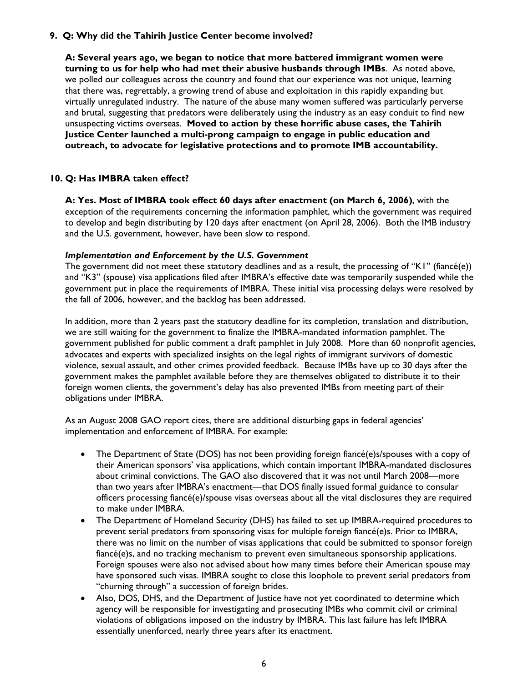# **9. Q: Why did the Tahirih Justice Center become involved?**

**A: Several years ago, we began to notice that more battered immigrant women were turning to us for help who had met their abusive husbands through IMBs**. As noted above, we polled our colleagues across the country and found that our experience was not unique, learning that there was, regrettably, a growing trend of abuse and exploitation in this rapidly expanding but virtually unregulated industry. The nature of the abuse many women suffered was particularly perverse and brutal, suggesting that predators were deliberately using the industry as an easy conduit to find new unsuspecting victims overseas. **Moved to action by these horrific abuse cases, the Tahirih Justice Center launched a multi-prong campaign to engage in public education and outreach, to advocate for legislative protections and to promote IMB accountability.**

# **10. Q: Has IMBRA taken effect?**

**A: Yes. Most of IMBRA took effect 60 days after enactment (on March 6, 2006)**, with the exception of the requirements concerning the information pamphlet, which the government was required to develop and begin distributing by 120 days after enactment (on April 28, 2006). Both the IMB industry and the U.S. government, however, have been slow to respond.

#### *Implementation and Enforcement by the U.S. Government*

The government did not meet these statutory deadlines and as a result, the processing of "K1" (fiancé(e)) and "K3" (spouse) visa applications filed after IMBRA's effective date was temporarily suspended while the government put in place the requirements of IMBRA. These initial visa processing delays were resolved by the fall of 2006, however, and the backlog has been addressed.

In addition, more than 2 years past the statutory deadline for its completion, translation and distribution, we are still waiting for the government to finalize the IMBRA-mandated information pamphlet. The government published for public comment a draft pamphlet in July 2008. More than 60 nonprofit agencies, advocates and experts with specialized insights on the legal rights of immigrant survivors of domestic violence, sexual assault, and other crimes provided feedback. Because IMBs have up to 30 days after the government makes the pamphlet available before they are themselves obligated to distribute it to their foreign women clients, the government's delay has also prevented IMBs from meeting part of their obligations under IMBRA.

As an August 2008 GAO report cites, there are additional disturbing gaps in federal agencies' implementation and enforcement of IMBRA. For example:

- The Department of State (DOS) has not been providing foreign fiancé(e)s/spouses with a copy of their American sponsors' visa applications, which contain important IMBRA-mandated disclosures about criminal convictions. The GAO also discovered that it was not until March 2008—more than two years after IMBRA's enactment—that DOS finally issued formal guidance to consular officers processing fiancé(e)/spouse visas overseas about all the vital disclosures they are required to make under IMBRA.
- The Department of Homeland Security (DHS) has failed to set up IMBRA-required procedures to prevent serial predators from sponsoring visas for multiple foreign fiancé(e)s. Prior to IMBRA, there was no limit on the number of visas applications that could be submitted to sponsor foreign fiancé(e)s, and no tracking mechanism to prevent even simultaneous sponsorship applications. Foreign spouses were also not advised about how many times before their American spouse may have sponsored such visas. IMBRA sought to close this loophole to prevent serial predators from "churning through" a succession of foreign brides.
- Also, DOS, DHS, and the Department of Justice have not yet coordinated to determine which agency will be responsible for investigating and prosecuting IMBs who commit civil or criminal violations of obligations imposed on the industry by IMBRA. This last failure has left IMBRA essentially unenforced, nearly three years after its enactment.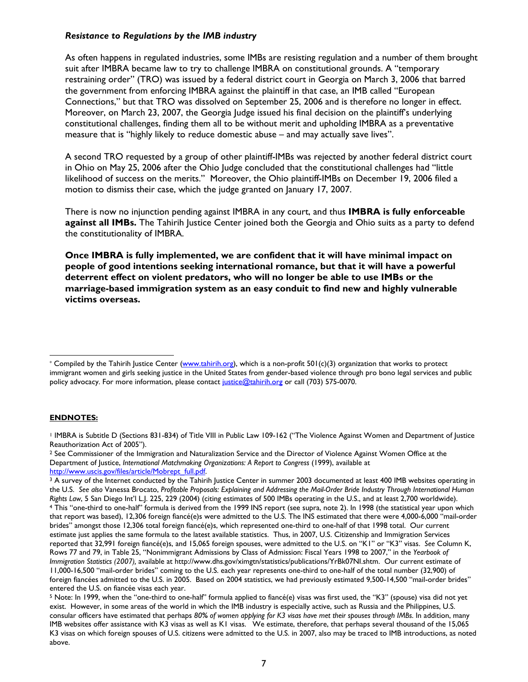### *Resistance to Regulations by the IMB industry*

As often happens in regulated industries, some IMBs are resisting regulation and a number of them brought suit after IMBRA became law to try to challenge IMBRA on constitutional grounds. A "temporary restraining order" (TRO) was issued by a federal district court in Georgia on March 3, 2006 that barred the government from enforcing IMBRA against the plaintiff in that case, an IMB called "European Connections," but that TRO was dissolved on September 25, 2006 and is therefore no longer in effect. Moreover, on March 23, 2007, the Georgia Judge issued his final decision on the plaintiff's underlying constitutional challenges, finding them all to be without merit and upholding IMBRA as a preventative measure that is "highly likely to reduce domestic abuse – and may actually save lives".

A second TRO requested by a group of other plaintiff-IMBs was rejected by another federal district court in Ohio on May 25, 2006 after the Ohio Judge concluded that the constitutional challenges had "little likelihood of success on the merits." Moreover, the Ohio plaintiff-IMBs on December 19, 2006 filed a motion to dismiss their case, which the judge granted on January 17, 2007.

There is now no injunction pending against IMBRA in any court, and thus **IMBRA is fully enforceable against all IMBs.** The Tahirih Justice Center joined both the Georgia and Ohio suits as a party to defend the constitutionality of IMBRA.

**Once IMBRA is fully implemented, we are confident that it will have minimal impact on people of good intentions seeking international romance, but that it will have a powerful deterrent effect on violent predators, who will no longer be able to use IMBs or the marriage-based immigration system as an easy conduit to find new and highly vulnerable victims overseas.** 

#### **ENDNOTES:**

1 IMBRA is Subtitle D (Sections 831-834) of Title VIII in Public Law 109-162 ("The Violence Against Women and Department of Justice Reauthorization Act of 2005").

5 Note: In 1999, when the "one-third to one-half" formula applied to fiancé(e) visas was first used, the "K3" (spouse) visa did not yet exist. However, in some areas of the world in which the IMB industry is especially active, such as Russia and the Philippines, U.S. consular officers have estimated that perhaps *80% of women applying for K3 visas have met their spouses through IMBs*. In addition, many IMB websites offer assistance with K3 visas as well as K1 visas. We estimate, therefore, that perhaps several thousand of the 15,065 K3 visas on which foreign spouses of U.S. citizens were admitted to the U.S. in 2007, also may be traced to IMB introductions, as noted above.

 $\overline{a}$  $*$  Compiled by the Tahirih Justice Center (www.tahirih.org), which is a non-profit 501(c)(3) organization that works to protect immigrant women and girls seeking justice in the United States from gender-based violence through pro bono legal services and public policy advocacy. For more information, please contact justice@tahirih.org or call (703) 575-0070.

<sup>&</sup>lt;sup>2</sup> See Commissioner of the Immigration and Naturalization Service and the Director of Violence Against Women Office at the Department of Justice, *International Matchmaking Organizations: A Report to Congress* (1999), available at

http://www.uscis.gov/files/article/Mobrept\_full.pdf.<br><sup>3</sup> A survey of the Internet conducted by the Tahirih Justice Center in summer 2003 documented at least 400 IMB websites operating in the U.S. *See also* Vanessa Brocato, *Profitable Proposals: Explaining and Addressing the Mail-Order Bride Industry Through International Human*  Rights Law, 5 San Diego Int'l L.J. 225, 229 (2004) (citing estimates of 500 IMBs operating in the U.S., and at least 2,700 worldwide).<br>4 This "one-third to one-half" formula is derived from the 1999 INS report (see supra, that report was based), 12,306 foreign fiancé(e)s were admitted to the U.S. The INS estimated that there were 4,000-6,000 "mail-order brides" amongst those 12,306 total foreign fiancé(e)s, which represented one-third to one-half of that 1998 total. Our current estimate just applies the same formula to the latest available statistics. Thus, in 2007, U.S. Citizenship and Immigration Services reported that 32,991 foreign fiancé(e)s, and 15,065 foreign spouses, were admitted to the U.S. on "K1" or "K3" visas. *See* Column K, Rows 77 and 79, in Table 25, "Nonimmigrant Admissions by Class of Admission: Fiscal Years 1998 to 2007," in the *Yearbook of Immigration Statistics (2007),* available at http://www.dhs.gov/ximgtn/statistics/publications/YrBk07NI.shtm. Our current estimate of 11,000-16,500 "mail-order brides" coming to the U.S. each year represents one-third to one-half of the total number (32,900) of foreign fiancées admitted to the U.S. in 2005. Based on 2004 statistics, we had previously estimated 9,500-14,500 "mail-order brides" entered the U.S. on fiancée visas each year.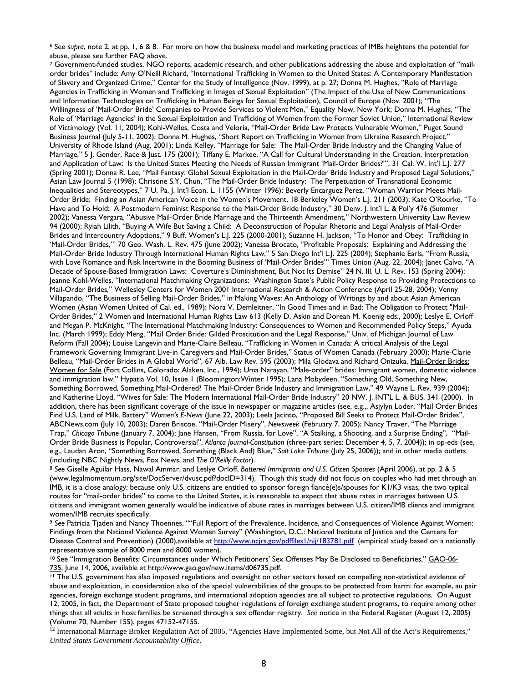7 Government-funded studies, NGO reports, academic research, and other publications addressing the abuse and exploitation of "mailorder brides" include: Amy O'Neill Richard, "International Trafficking in Women to the United States: A Contemporary Manifestation of Slavery and Organized Crime," Center for the Study of Intelligence (Nov. 1999), at p. 27; Donna M. Hughes, "Role of Marriage Agencies in Trafficking in Women and Trafficking in Images of Sexual Exploitation" (The Impact of the Use of New Communications and Information Technologies on Trafficking in Human Beings for Sexual Exploitation), Council of Europe (Nov. 2001); "The Willingness of 'Mail-Order Bride' Companies to Provide Services to Violent Men," Equality Now, New York; Donna M. Hughes, "The Role of 'Marriage Agencies' in the Sexual Exploitation and Trafficking of Women from the Former Soviet Union," International Review of Victimology (Vol. 11, 2004); Kohl-Welles, Costa and Veloria, "Mail-Order Bride Law Protects Vulnerable Women," Puget Sound Business Journal (July 5-11, 2002); Donna M. Hughes, "Short Report on Trafficking in Women from Ukraine Research Project," University of Rhode Island (Aug. 2001); Linda Kelley, "Marriage for Sale: The Mail-Order Bride Industry and the Changing Value of Marriage," 5 J. Gender, Race & Just. 175 (2001); Tiffany E. Markee, "A Call for Cultural Understanding in the Creation, Interpretation and Application of Law: Is the United States Meeting the Needs of Russian Immigrant 'Mail-Order Brides?'", 31 Cal. W. Int'l L.J. 277 (Spring 2001); Donna R. Lee, "Mail Fantasy: Global Sexual Exploitation in the Mail-Order Bride Industry and Proposed Legal Solutions," Asian Law Journal 5 (1998); Christine S.Y. Chun, "The Mail-Order Bride Industry: The Perpetuation of Transnational Economic Inequalities and Stereotypes," 7 U. Pa. J. Int'l Econ. L. 1155 (Winter 1996); Beverly Encarguez Perez, "Woman Warrior Meets Mail-Order Bride: Finding an Asian American Voice in the Women's Movement, 18 Berkeley Women's L.J. 211 (2003); Kate O'Rourke, "To Have and To Hold: A Postmodern Feminist Response to the Mail-Order Bride Industry," 30 Denv. J. Int'l L. & Pol'y 476 (Summer 2002); Vanessa Vergara, "Abusive Mail-Order Bride Marriage and the Thirteenth Amendment," Northwestern University Law Review 94 (2000); Ryiah Lilith, "Buying A Wife But Saving a Child: A Deconstruction of Popular Rhetoric and Legal Analysis of Mail-Order Brides and Intercountry Adoptions," 9 Buff. Women's L.J. 225 (2000-2001); Suzanne H. Jackson, "To Honor and Obey: Trafficking in 'Mail-Order Brides,'" 70 Geo. Wash. L. Rev. 475 (June 2002); Vanessa Brocato, "Profitable Proposals: Explaining and Addressing the Mail-Order Bride Industry Through International Human Rights Law," 5 San Diego Int'l L.J. 225 (2004); Stephanie Earls, "From Russia, with Love Romance and Risk Intertwine in the Booming Business of 'Mail-Order Brides'" Times Union (Aug. 22, 2004); Janet Calvo, "A Decade of Spouse-Based Immigration Laws: Coverture's Diminishment, But Not Its Demise" 24 N. Ill. U. L. Rev. 153 (Spring 2004); Jeanne Kohl-Welles, "International Matchmaking Organizations: Washington State's Public Policy Response to Providing Protections to Mail-Order Brides," Wellesley Centers for Women 2001 International Research & Action Conference (April 25-28, 2004); Venny Villapando, "The Business of Selling Mail-Order Brides," in Making Waves: An Anthology of Writings by and about Asian American Women (Asian Women United of Cal. ed., 1989); Nora V. Demleitner, "In Good Times and in Bad: The Obligation to Protect "Mail-Order Brides," 2 Women and International Human Rights Law 613 (Kelly D. Askin and Dorean M. Koenig eds., 2000)*;* Leslye E. Orloff and Megan P. McKnight, "The International Matchmaking Industry: Consequences to Women and Recommended Policy Steps," Ayuda Inc. (March 1999); Eddy Meng, "Mail Order Bride: Gilded Prostitution and the Legal Response," Univ. of Michigan Journal of Law Reform (Fall 2004); Louise Langevin and Marie-Claire Belleau, "Trafficking in Women in Canada: A critical Analysis of the Legal Framework Governing Immigrant Live-in Caregivers and Mail-Order Brides," Status of Women Canada (February 2000); Marie-Clarie Belleau, "Mail-Order Brides in A Global World", 67 Alb. Law Rev. 595 (2003); Mila Glodava and Richard Onizuka, Mail-Order Brides: Women for Sale (Fort Collins, Colorado: Alaken, Inc., 1994); Uma Narayan, "Male-order" brides: Immigrant women, domestic violence and immigration law," Hypatia Vol. 10, Issue 1 (Bloomington:Winter 1995); Lana Mobydeen, "Something Old, Something New, Something Borrowed, Something Mail-Ordered? The Mail-Order Bride Industry and Immigration Law," 49 Wayne L. Rev. 939 (2004); and Katherine Lloyd, "Wives for Sale: The Modern International Mail-Order Bride Industry" 20 NW. J. INT'L L. & BUS. 341 (2000). In addition, there has been significant coverage of the issue in newspaper or magazine articles (see, e.g.,, Asjylyn Loder, "Mail Order Brides Find U.S. Land of Milk, Battery" *Women's E-News* (June 22, 2003); Leela Jacinto, "Proposed Bill Seeks to Protect Mail-Order Brides", ABCNews.com (July 10, 2003); Daren Briscoe, "Mail-Order Misery", *Newsweek* (February 7, 2005); Nancy Traver, "The Marriage Trap," *Chicago Tribune* (January 7, 2004); Jane Hansen, "From Russia, for Love", "A Stalking, a Shooting, and a Surprise Ending", "Mail-Order Bride Business is Popular, Controversial", *Atlanta Journal-Constitution* (three-part series: December 4, 5, 7, 2004)); in op-eds (see, e.g., Laudan Aron, "Something Borrowed, Something (Black And) Blue," *Salt Lake Tribune* (July 25, 2006)); and in other media outlets (including NBC Nightly News, Fox News, and *The O'Reilly Factor*). 8 *See* Giselle Aguilar Hass, Nawal Ammar, and Leslye Orloff, *Battered Immigrants and U.S. Citizen Spouses* (April 2006), at pp. 2 & 5

(www.legalmomentum.org/site/DocServer/dvusc.pdf?docID=314). Though this study did not focus on couples who had met through an IMB, it is a close analogy: because only U.S. citizens are entitled to sponsor foreign fiancé(e)s/spouses for K1/K3 visas, the two typical routes for "mail-order brides" to come to the United States, it is reasonable to expect that abuse rates in marriages between U.S. citizens and immigrant women generally would be indicative of abuse rates in marriages between U.S. citizen/IMB clients and immigrant women/IMB recruits specifically.

<sup>9</sup> *See* Patricia Tjaden and Nancy Thoennes, ""Full Report of the Prevalence, Incidence, and Consequences of Violence Against Women: Findings from the National Violence Against Women Survey" (Washington, D.C.: National Institute of Justice and the Centers for Disease Control and Prevention) (2000),available at http://www.ncjrs.gov/pdffiles1/nij/183781.pdf (empirical study based on a nationally representative sample of 8000 men and 8000 women).

<sup>10</sup> See "Immigration Benefits: Circumstances under Which Petitioners' Sex Offenses May Be Disclosed to Beneficiaries," GAO-06-735, June 14, 2006, available at http://www.gao.gov/new.items/d06735.pdf.<br><sup>11</sup> The U.S. government has also imposed regulations and oversight on other sectors based on compelling non-statistical evidence of

abuse and exploitation, in consideration also of the special vulnerabilities of the groups to be protected from harm: for example, au pair agencies, foreign exchange student programs, and international adoption agencies are all subject to protective regulations. On August 12, 2005, in fact, the Department of State proposed tougher regulations of foreign exchange student programs, to require among other things that all adults in host families be screened through a sex offender registry. *See* notice in the Federal Register (August 12, 2005) (Volume 70, Number 155), pages 47152-47155.

<sup>12</sup> International Marriage Broker Regulation Act of 2005, "Agencies Have Implemented Some, but Not All of the Act's Requirements," *United States Government Accountability Office*.

 $\overline{a}$ 6 See *supra*, note 2, at pp. 1, 6 & 8. For more on how the business model and marketing practices of IMBs heightens the potential for abuse, please see further FAQ above.